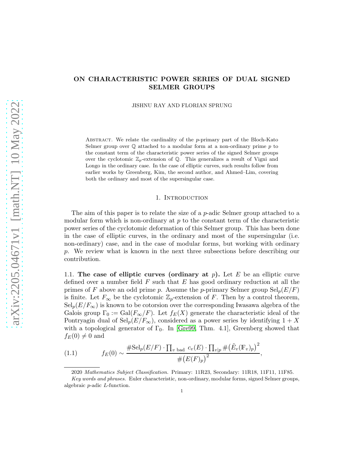# ON CHARACTERISTIC POWER SERIES OF DUAL SIGNED SELMER GROUPS

JISHNU RAY AND FLORIAN SPRUNG

ABSTRACT. We relate the cardinality of the  $p$ -primary part of the Bloch-Kato Selmer group over  $\mathbb Q$  attached to a modular form at a non-ordinary prime p to the constant term of the characteristic power series of the signed Selmer groups over the cyclotomic  $\mathbb{Z}_p$ -extension of Q. This generalizes a result of Vigni and Longo in the ordinary case. In the case of elliptic curves, such results follow from earlier works by Greenberg, Kim, the second author, and Ahmed–Lim, covering both the ordinary and most of the supersingular case.

### 1. INTRODUCTION

The aim of this paper is to relate the size of a  $p$ -adic Selmer group attached to a modular form which is non-ordinary at  $p$  to the constant term of the characteristic power series of the cyclotomic deformation of this Selmer group. This has been done in the case of elliptic curves, in the ordinary and most of the supersingular (i.e. non-ordinary) case, and in the case of modular forms, but working with ordinary p. We review what is known in the next three subsections before describing our contribution.

1.1. The case of elliptic curves (ordinary at  $p$ ). Let E be an elliptic curve defined over a number field  $F$  such that  $E$  has good ordinary reduction at all the primes of F above an odd prime p. Assume the p-primary Selmer group  $\text{Sel}_p(E/F)$ is finite. Let  $F_{\infty}$  be the cyclotomic  $\mathbb{Z}_p$ -extension of F. Then by a control theorem,  $\text{Sel}_p(E/F_\infty)$  is known to be cotorsion over the corresponding Iwasawa algebra of the Galois group  $\Gamma_0 := \text{Gal}(F_{\infty}/F)$ . Let  $f_E(X)$  generate the characteristic ideal of the Pontryagin dual of  $\text{Sel}_p(E/F_\infty)$ , considered as a power series by identifying  $1 + X$ with a topological generator of  $\Gamma_0$ . In [\[Gre99,](#page-12-0) Thm. 4.1], Greenberg showed that  $f_E(0) \neq 0$  and

(1.1) 
$$
f_E(0) \sim \frac{\# \text{Sel}_p(E/F) \cdot \prod_{v \text{ bad}} c_v(E) \cdot \prod_{v \mid p} \# (\tilde{E}_v(\mathbb{F}_v)_p)^2}{\# (E(F)_p)^2},
$$

<span id="page-0-0"></span><sup>2020</sup> Mathematics Subject Classification. Primary: 11R23, Secondary: 11R18, 11F11, 11F85.

Key words and phrases. Euler characteristic, non-ordinary, modular forms, signed Selmer groups, algebraic p-adic L-function.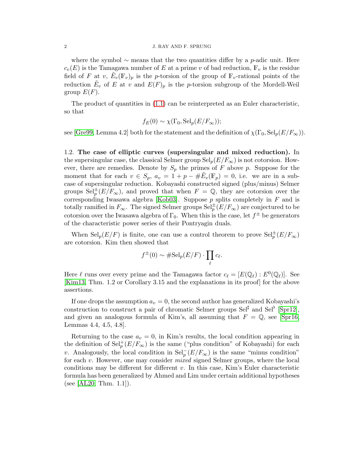where the symbol  $\sim$  means that the two quantities differ by a p-adic unit. Here  $c_v(E)$  is the Tamagawa number of E at a prime v of bad reduction,  $\mathbb{F}_v$  is the residue field of F at v,  $\tilde{E}_v(\mathbb{F}_v)_p$  is the p-torsion of the group of  $\mathbb{F}_v$ -rational points of the reduction  $\tilde{E}_v$  of E at v and  $E(F)_p$  is the p-torsion subgroup of the Mordell-Weil group  $E(F)$ .

The product of quantities in [\(1.1\)](#page-0-0) can be reinterpreted as an Euler characteristic, so that

$$
f_E(0) \sim \chi(\Gamma_0, \text{Sel}_p(E/F_\infty));
$$

see [\[Gre99,](#page-12-0) Lemma 4.2] both for the statement and the definition of  $\chi(\Gamma_0, \text{Sel}_p(E/F_\infty))$ .

1.2. The case of elliptic curves (supersingular and mixed reduction). In the supersingular case, the classical Selmer group  $\text{Sel}_p(E/F_\infty)$  is not cotorsion. However, there are remedies. Denote by  $S_p$  the primes of F above p. Suppose for the moment that for each  $v \in S_p$ ,  $a_v = 1 + p - \# \tilde{E}_v(\mathbb{F}_p) = 0$ , i.e. we are in a subcase of supersingular reduction. Kobayashi constructed signed (plus/minus) Selmer groups  $\text{Sel}_{p}^{\pm}(E/F_{\infty})$ , and proved that when  $F = \mathbb{Q}$ , they are cotorsion over the corresponding Iwasawa algebra [\[Kob03\]](#page-12-1). Suppose  $p$  splits completely in  $F$  and is totally ramified in  $F_{\infty}$ . The signed Selmer groups  $\text{Sel}_{p}^{\pm}(E/F_{\infty})$  are conjectured to be cotorsion over the Iwasawa algebra of  $\Gamma_0$ . When this is the case, let  $f^{\pm}$  be generators of the characteristic power series of their Pontryagin duals.

When  $\text{Sel}_p(E/F)$  is finite, one can use a control theorem to prove  $\text{Sel}_p^{\pm}(E/F_{\infty})$ are cotorsion. Kim then showed that

$$
f^{\pm}(0) \sim \# \mathrm{Sel}_p(E/F) \cdot \prod_{\ell} c_{\ell}.
$$

Here  $\ell$  runs over every prime and the Tamagawa factor  $c_{\ell} = [E(\mathbb{Q}_{\ell}) : E^0(\mathbb{Q}_{\ell})]$ . See [\[Kim13,](#page-12-2) Thm. 1.2 or Corollary 3.15 and the explanations in its proof] for the above assertions.

If one drops the assumption  $a_v = 0$ , the second author has generalized Kobayashi's construction to construct a pair of chromatic Selmer groups  $\text{Sel}^{\sharp}$  and  $\text{Sel}^{\flat}$  [\[Spr12\]](#page-13-0), and given an analogous formula of Kim's, all assuming that  $F = \mathbb{Q}$ , see [\[Spr16,](#page-13-1) Lemmas 4.4, 4.5, 4.8].

Returning to the case  $a_v = 0$ , in Kim's results, the local condition appearing in the definition of  $\text{Sel}_p^+(E/F_\infty)$  is the same ("plus condition" of Kobayashi) for each v. Analogously, the local condition in  $\text{Sel}_p^-(E/F_\infty)$  is the same "minus condition" for each v. However, one may consider *mixed* signed Selmer groups, where the local conditions may be different for different  $v$ . In this case, Kim's Euler characteristic formula has been generalized by Ahmed and Lim under certain additional hypotheses (see  $|AL20, Thm. 1.1|$ ).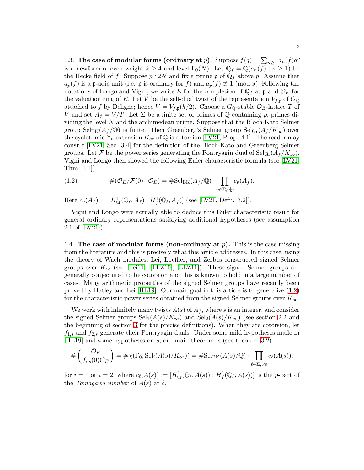1.3. The case of modular forms (ordinary at p). Suppose  $f(q) = \sum_{n \geq 1} a_n(f) q^n$ is a newform of even weight  $k \geq 4$  and level  $\Gamma_0(N)$ . Let  $\mathbb{Q}_f = \mathbb{Q}(a_n(f) \mid n \geq 1)$  be the Hecke field of f. Suppose  $p \nmid 2N$  and fix a prime p of  $\mathbb{Q}_f$  above p. Assume that  $a_p(f)$  is a p-adic unit (i.e. p is ordinary for f) and  $a_p(f) \neq 1 \pmod{p}$ . Following the notations of Longo and Vigni, we write E for the completion of  $\mathbb{Q}_f$  at p and  $\mathcal{O}_E$  for the valuation ring of E. Let V be the self-dual twist of the representation  $V_{f,\mathfrak{p}}$  of  $G_{\mathbb{Q}}$ attached to f by Deligne; hence  $V = V_{f,\mathfrak{p}}(k/2)$ . Choose a  $G_{\mathbb{Q}}$ -stable  $\mathcal{O}_E$ -lattice T of V and set  $A_f = V/T$ . Let  $\Sigma$  be a finite set of primes of Q containing p, primes dividing the level  $N$  and the archimedean prime. Suppose that the Bloch-Kato Selmer group  $\text{Sel}_{BK}(A_f/\mathbb{Q})$  is finite. Then Greenberg's Selmer group  $\text{Sel}_{Gr}(A_f/K_{\infty})$  over the cyclotomic  $\mathbb{Z}_p$ -extension  $K_{\infty}$  of  $\mathbb{Q}$  is cotorsion [\[LV21,](#page-12-4) Prop. 4.1]. The reader may consult [\[LV21,](#page-12-4) Sec. 3.4] for the definition of the Bloch-Kato and Greenberg Selmer groups. Let F be the power series generating the Pontryagin dual of  $Sel<sub>Gr</sub>(A_f/K_\infty)$ . Vigni and Longo then showed the following Euler characteristic formula (see [\[LV21,](#page-12-4) Thm. 1.1]).

<span id="page-2-0"></span>(1.2) 
$$
\#(\mathcal{O}_E/\mathcal{F}(0)\cdot\mathcal{O}_E)=\# \mathrm{Sel}_{BK}(A_f/\mathbb{Q})\cdot\prod_{v\in\Sigma,v\nmid p}c_v(A_f).
$$

Here  $c_v(A_f) := [H^1_{ur}(\mathbb{Q}_\ell, A_f) : H^1_f(\mathbb{Q}_\ell, A_f)]$  (see [\[LV21,](#page-12-4) Defn. 3.2]).

Vigni and Longo were actually able to deduce this Euler characteristic result for general ordinary representations satisfying additional hypotheses (see assumption 2.1 of [\[LV21\]](#page-12-4)).

1.4. The case of modular forms (non-ordinary at  $p$ ). This is the case missing from the literature and this is precisely what this article addresses. In this case, using the theory of Wach modules, Lei, Loeffler, and Zerbes constructed signed Selmer groups over  $K_{\infty}$  (see [\[Lei11\]](#page-12-5), [\[LLZ10\]](#page-12-6), [\[LLZ11\]](#page-12-7)). These signed Selmer groups are generally conjectured to be cotorsion and this is known to hold in a large number of cases. Many arithmetic properties of the signed Selmer groups have recently been proved by Hatley and Lei [\[HL19\]](#page-12-8). Our main goal in this article is to generalize [\(1.2\)](#page-2-0) for the characteristic power series obtained from the signed Selmer groups over  $K_{\infty}$ .

We work with infinitely many twists  $A(s)$  of  $A_f$ , where s is an integer, and consider the signed Selmer groups  $\text{Sel}_1(A(s)/K_{\infty})$  and  $\text{Sel}_2(A(s)/K_{\infty})$  (see section [2.2](#page-4-0) and the beginning of section [3](#page-7-0) for the precise definitions). When they are cotorsion, let  $f_{1,s}$  and  $f_{2,s}$  generate their Pontryagin duals. Under some mild hypotheses made in [\[HL19\]](#page-12-8) and some hypotheses on s, our main theorem is (see theorem [3.2\)](#page-8-0)

$$
\#\left(\frac{\mathcal{O}_E}{f_{i,s}(0)\mathcal{O}_E}\right) = \#\chi(\Gamma_0, \mathrm{Sel}_i(A(s)/K_\infty)) = \#\mathrm{Sel}_{\mathrm{BK}}(A(s)/\mathbb{Q}) \cdot \prod_{\ell \in \Sigma, \ell \nmid p} c_\ell(A(s)),
$$

for  $i = 1$  or  $i = 2$ , where  $c_{\ell}(A(s)) := [H^1_{\text{ur}}(\mathbb{Q}_{\ell}, A(s)) : H^1_f(\mathbb{Q}_{\ell}, A(s))]$  is the *p*-part of the *Tamagawa number* of  $A(s)$  at  $\ell$ .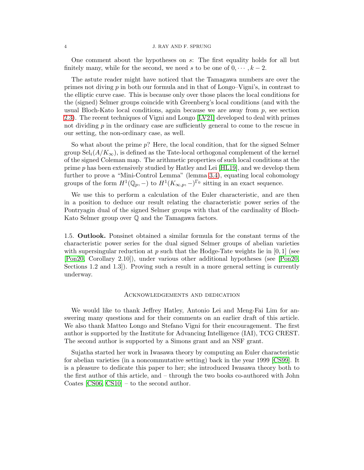One comment about the hypotheses on s: The first equality holds for all but finitely many, while for the second, we need s to be one of  $0, \dots, k-2$ .

The astute reader might have noticed that the Tamagawa numbers are over the primes not diving  $p$  in both our formula and in that of Longo–Vigni's, in contrast to the elliptic curve case. This is because only over those places the local conditions for the (signed) Selmer groups coincide with Greenberg's local conditions (and with the usual Bloch-Kato local conditions, again because we are away from  $p$ , see section [2.3\)](#page-6-0). The recent techniques of Vigni and Longo [\[LV21\]](#page-12-4) developed to deal with primes not dividing p in the ordinary case are sufficiently general to come to the rescue in our setting, the non-ordinary case, as well.

So what about the prime  $p$ ? Here, the local condition, that for the signed Selmer group  $Sel_i(A/K_\infty)$ , is defined as the Tate-local orthogonal complement of the kernel of the signed Coleman map. The arithmetic properties of such local conditions at the prime  $p$  has been extensively studied by Hatley and Lei [\[HL19\]](#page-12-8), and we develop them further to prove a "Mini-Control Lemma" (lemma [3.4\)](#page-8-1), equating local cohomology groups of the form  $H^1(\mathbb{Q}_p, -)$  to  $H^1(K_{\infty,p}, -)^{\Gamma_0}$  sitting in an exact sequence.

We use this to perform a calculation of the Euler characteristic, and are then in a position to deduce our result relating the characteristic power series of the Pontryagin dual of the signed Selmer groups with that of the cardinality of Bloch-Kato Selmer group over Q and the Tamagawa factors.

1.5. Outlook. Ponsinet obtained a similar formula for the constant terms of the characteristic power series for the dual signed Selmer groups of abelian varieties with supersingular reduction at p such that the Hodge-Tate weights lie in  $[0, 1]$  (see [\[Pon20,](#page-13-2) Corollary 2.10]), under various other additional hypotheses (see [\[Pon20,](#page-13-2) Sections 1.2 and 1.3]). Proving such a result in a more general setting is currently underway.

### Acknowledgements and dedication

We would like to thank Jeffrey Hatley, Antonio Lei and Meng-Fai Lim for answering many questions and for their comments on an earlier draft of this article. We also thank Matteo Longo and Stefano Vigni for their encouragement. The first author is supported by the Institute for Advancing Intelligence (IAI), TCG CREST. The second author is supported by a Simons grant and an NSF grant.

Sujatha started her work in Iwasawa theory by computing an Euler characteristic for abelian varieties (in a noncommutative setting) back in the year 1999 [\[CS99\]](#page-12-9). It is a pleasure to dedicate this paper to her; she introduced Iwasawa theory both to the first author of this article, and – through the two books co-authored with John Coates [\[CS06,](#page-12-10) [CS10\]](#page-12-11) – to the second author.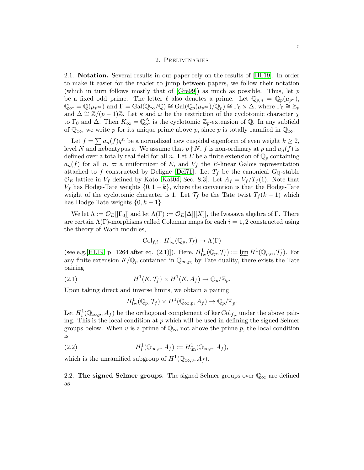### 2. Preliminaries

2.1. Notation. Several results in our paper rely on the results of [\[HL19\]](#page-12-8). In order to make it easier for the reader to jump between papers, we follow their notation (which in turn follows mostly that of  $[Gre99]$ ) as much as possible. Thus, let p be a fixed odd prime. The letter  $\ell$  also denotes a prime. Let  $\mathbb{Q}_{p,n} = \mathbb{Q}_p(\mu_{p^n}),$  $\mathbb{Q}_{\infty} = \mathbb{Q}(\mu_{p^{\infty}})$  and  $\Gamma = \text{Gal}(\mathbb{Q}_{\infty}/\mathbb{Q}) \cong \text{Gal}(\mathbb{Q}_{p}(\mu_{p^{\infty}})/\mathbb{Q}_{p}) \cong \Gamma_0 \times \Delta$ , where  $\Gamma_0 \cong \mathbb{Z}_p$ and  $\Delta \cong \mathbb{Z}/(p-1)\mathbb{Z}$ . Let  $\kappa$  and  $\omega$  be the restriction of the cyclotomic character  $\chi$ to  $\Gamma_0$  and  $\Delta$ . Then  $K_{\infty} = \mathbb{Q}^{\Delta}_{\infty}$  is the cyclotomic  $\mathbb{Z}_p$ -extension of  $\mathbb{Q}$ . In any subfield of  $\mathbb{Q}_{\infty}$ , we write p for its unique prime above p, since p is totally ramified in  $\mathbb{Q}_{\infty}$ .

Let  $f = \sum a_n(f)q^n$  be a normalized new cuspidal eigenform of even weight  $k \geq 2$ , level N and nebentypus  $\varepsilon$ . We assume that  $p \nmid N$ , f is non-ordinary at p and  $a_n(f)$  is defined over a totally real field for all n. Let E be a finite extension of  $\mathbb{Q}_p$  containing  $a_n(f)$  for all n,  $\varpi$  a uniformizer of E, and  $V_f$  the E-linear Galois representation attached to f constructed by Deligne [\[Del71\]](#page-12-12). Let  $T_f$  be the canonical  $G_{\mathbb{Q}}$ -stable  $\mathcal{O}_E$ -lattice in  $V_f$  defined by Kato [\[Kat04,](#page-12-13) Sec. 8.3]. Let  $A_f = V_f/T_f(1)$ . Note that  $V_f$  has Hodge-Tate weights  $\{0, 1 - k\}$ , where the convention is that the Hodge-Tate weight of the cyclotomic character is 1. Let  $\mathcal{T}_f$  be the Tate twist  $T_f (k-1)$  which has Hodge-Tate weights  $\{0, k-1\}.$ 

We let  $\Lambda := \mathcal{O}_E[[\Gamma_0]]$  and let  $\Lambda(\Gamma) := \mathcal{O}_E[\Delta][[X]]$ , the Iwasawa algebra of Γ. There are certain  $\Lambda(\Gamma)$ -morphisms called Coleman maps for each  $i = 1, 2$  constructed using the theory of Wach modules,

$$
\mathrm{Col}_{f,i}: H^1_{\mathrm{Iw}}(\mathbb{Q}_p,\mathcal{T}_f) \to \Lambda(\Gamma)
$$

(see e.g.[\[HL19,](#page-12-8) p. 1264 after eq. (2.1)]). Here,  $H^1_{\text{Iw}}(\mathbb{Q}_p, \mathcal{T}_f) := \varprojlim_{\Omega} H^1(\mathbb{Q}_{p,n}, \mathcal{T}_f)$ . For any finite extension  $K/\mathbb{Q}_p$  contained in  $\mathbb{Q}_{\infty,p}$ , by Tate-duality, there exists the Tate pairing

(2.1) 
$$
H^1(K, \mathcal{T}_f) \times H^1(K, A_f) \to \mathbb{Q}_p/\mathbb{Z}_p.
$$

Upon taking direct and inverse limits, we obtain a pairing

<span id="page-4-2"></span><span id="page-4-1"></span>
$$
H^1_{\mathrm{Iw}}(\mathbb{Q}_p, \mathcal{T}_f) \times H^1(\mathbb{Q}_{\infty,p}, A_f) \to \mathbb{Q}_p/\mathbb{Z}_p.
$$

Let  $H_i^1(\mathbb{Q}_{\infty,p}, A_f)$  be the orthogonal complement of ker  $\text{Col}_{f,i}$  under the above pairing. This is the local condition at  $p$  which will be used in defining the signed Selmer groups below. When v is a prime of  $\mathbb{Q}_{\infty}$  not above the prime p, the local condition is

(2.2) 
$$
H_i^1(\mathbb{Q}_{\infty,v}, A_f) := H_{un}^1(\mathbb{Q}_{\infty,v}, A_f),
$$

<span id="page-4-0"></span>which is the unramified subgroup of  $H^1(\mathbb{Q}_{\infty}, v, A_f)$ .

2.2. The signed Selmer groups. The signed Selmer groups over  $\mathbb{Q}_{\infty}$  are defined as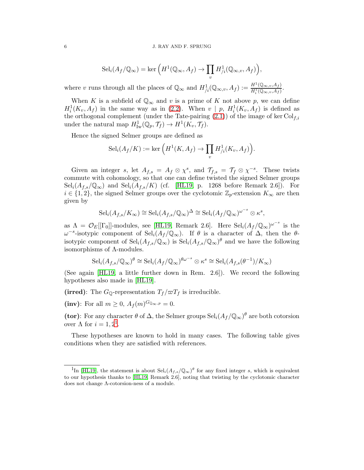$$
\mathrm{Sel}_{i}(A_{f}/\mathbb{Q}_{\infty}) = \ker \left( H^{1}(\mathbb{Q}_{\infty}, A_{f}) \to \prod_{v} H^{1}_{/i}(\mathbb{Q}_{\infty,v}, A_{f}) \right),
$$

where v runs through all the places of  $\mathbb{Q}_{\infty}$  and  $H^1_{/i}(\mathbb{Q}_{\infty,v},A_f) := \frac{H^1(\mathbb{Q}_{\infty,v},A_f)}{H^1_i(\mathbb{Q}_{\infty,v},A_f)}$ .

When K is a subfield of  $\mathbb{Q}_{\infty}$  and v is a prime of K not above p, we can define  $H_i^1(K_v, A_f)$  in the same way as in [\(2.2\)](#page-4-1). When  $v | p$ ,  $H_i^1(K_v, A_f)$  is defined as the orthogonal complement (under the Tate-pairing  $(2.1)$ ) of the image of ker Col<sub>f,i</sub> under the natural map  $H^1_{\mathrm{Iw}}(\mathbb{Q}_p, \mathcal{T}_f) \to H^1(K_v, \mathcal{T}_f)$ .

Hence the signed Selmer groups are defined as

$$
\mathrm{Sel}_{i}(A_{f}/K) := \mathrm{ker}\left(H^{1}(K, A_{f}) \to \prod_{v} H^{1}_{/i}(K_{v}, A_{f})\right).
$$

Given an integer s, let  $A_{f,s} = A_f \otimes \chi^s$ , and  $\mathcal{T}_{f,s} = \mathcal{T}_f \otimes \chi^{-s}$ . These twists commute with cohomology, so that one can define twisted the signed Selmer groups  $\text{Sel}_{i}(A_{f,s}/\mathbb{Q}_{\infty})$  and  $\text{Sel}_{i}(A_{f,s}/K)$  (cf. [\[HL19,](#page-12-8) p. 1268 before Remark 2.6]). For  $i \in \{1, 2\}$ , the signed Selmer groups over the cyclotomic  $\mathbb{Z}_p$ -extension  $K_{\infty}$  are then given by

$$
\mathrm{Sel}_{i}(A_{f,s}/K_{\infty}) \cong \mathrm{Sel}_{i}(A_{f,s}/\mathbb{Q}_{\infty})^{\Delta} \cong \mathrm{Sel}_{i}(A_{f}/\mathbb{Q}_{\infty})^{\omega^{-s}} \otimes \kappa^{s},
$$

as  $\Lambda = \mathcal{O}_E[[\Gamma_0]]$ -modules, see [\[HL19,](#page-12-8) Remark 2.6]. Here  $\text{Sel}_i(A_f/\mathbb{Q}_{\infty})^{\omega^{-s}}$  is the  $\omega^{-s}$ -isotypic component of Sel<sub>i</sub>(A<sub>f</sub>/Q<sub>∞</sub>). If  $\theta$  is a character of  $\Delta$ , then the  $\theta$ isotypic component of  $\text{Sel}_{i}(A_{f,s}/\mathbb{Q}_{\infty})$  is  $\text{Sel}_{i}(A_{f,s}/\mathbb{Q}_{\infty})^{\theta}$  and we have the following isomorphisms of Λ-modules.

$$
\mathrm{Sel}_i(A_{f,s}/\mathbb{Q}_\infty)^\theta \cong \mathrm{Sel}_i(A_f/\mathbb{Q}_\infty)^{\theta \omega^{-s}} \otimes \kappa^s \cong \mathrm{Sel}_i(A_{f,s}(\theta^{-1})/K_\infty)
$$

(See again [\[HL19,](#page-12-8) a little further down in Rem. 2.6]). We record the following hypotheses also made in [\[HL19\]](#page-12-8).

(irred): The  $G_{\mathbb{Q}}$ -representation  $T_f/\varpi T_f$  is irreducible.

(inv): For all  $m \geq 0$ ,  $A_f(m)^{G_{\mathbb{Q}_{\infty},p}} = 0$ .

(tor): For any character  $\theta$  of  $\Delta$ , the Selmer groups  $\text{Sel}_{i}(A_f/\mathbb{Q}_{\infty})^{\theta}$  are both cotorsion over  $\Lambda$  for  $i = 1, 2^1$  $i = 1, 2^1$  $i = 1, 2^1$ .

These hypotheses are known to hold in many cases. The following table gives conditions when they are satisfied with references.

<span id="page-5-0"></span><sup>&</sup>lt;sup>1</sup>In [\[HL19\]](#page-12-8), the statement is about  $\text{Sel}_{i}(A_{f,s}/\mathbb{Q}_{\infty})^{\theta}$  for any fixed integer s, which is equivalent to our hypothesis thanks to [\[HL19,](#page-12-8) Remark 2.6], noting that twisting by the cyclotomic character does not change Λ-cotorsion-ness of a module.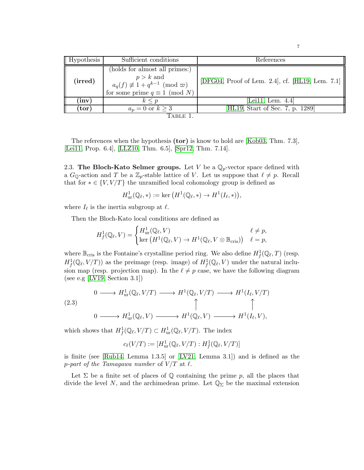| <b>Hypothesis</b>  | Sufficient conditions                                                                                                                  | References                                       |
|--------------------|----------------------------------------------------------------------------------------------------------------------------------------|--------------------------------------------------|
| $(\mathrm{irred})$ | (holds for almost all primes:)<br>$p > k$ and<br>$a_q(f) \not\equiv 1 + q^{k-1} \pmod{\varpi}$<br>for some prime $q \equiv 1 \pmod{N}$ | [DFG04, Proof of Lem. 2.4], cf. [HL19, Lem. 7.1] |
| $(\mathbf{inv})$   | $k \leq p$                                                                                                                             | [Lei11, Lem. $4.4$ ]                             |
| $({\bf tor})$      | $a_n = 0$ or $k \geq 3$                                                                                                                | [HL19, Start of Sec. 7, p. 1289]                 |
| l'able 1           |                                                                                                                                        |                                                  |

7

The references when the hypothesis (tor) is know to hold are [\[Kob03,](#page-12-1) Thm. 7.3], [\[Lei11,](#page-12-5) Prop. 6.4], [\[LLZ10,](#page-12-6) Thm. 6.5], [\[Spr12,](#page-13-0) Thm. 7.14].

<span id="page-6-0"></span>2.3. The Bloch-Kato Selmer groups. Let V be a  $\mathbb{Q}_p$ -vector space defined with a  $G_{\mathbb{Q}}$ -action and T be a  $\mathbb{Z}_p$ -stable lattice of V. Let us suppose that  $\ell \neq p$ . Recall that for  $* \in \{V, V/T\}$  the unramified local cohomology group is defined as

$$
H^1_{\text{ur}}(\mathbb{Q}_{\ell},*) := \text{ker}\left(H^1(\mathbb{Q}_{\ell},*) \to H^1(I_{\ell},*)\right),\,
$$

where  $I_{\ell}$  is the inertia subgroup at  $\ell$ .

Then the Bloch-Kato local conditions are defined as

$$
H_f^1(\mathbb{Q}_\ell, V) = \begin{cases} H^1_{\text{ur}}(\mathbb{Q}_\ell, V) & \ell \neq p, \\ \ker \left( H^1(\mathbb{Q}_\ell, V) \to H^1(\mathbb{Q}_\ell, V \otimes \mathbb{B}_{\text{cris}}) \right) & \ell = p, \end{cases}
$$

where  $\mathbb{B}_{\text{cris}}$  is the Fontaine's crystalline period ring. We also define  $H^1_f(\mathbb{Q}_\ell,T)$  (resp.  $H^1_f(\mathbb{Q}_\ell, V/T)$  as the preimage (resp. image) of  $H^1_f(\mathbb{Q}_\ell, V)$  under the natural inclusion map (resp. projection map). In the  $\ell \neq p$  case, we have the following diagram (see e.g [\[LV19,](#page-12-15) Section 3.1])

$$
(2.3)
$$
\n
$$
\begin{array}{ccc}\n0 & \longrightarrow H^1_{\text{ur}}(\mathbb{Q}_{\ell}, V/T) \longrightarrow H^1(\mathbb{Q}_{\ell}, V/T) \longrightarrow H^1(I_{\ell}, V/T) \\
\uparrow & & \uparrow & \uparrow \\
0 & \longrightarrow H^1_{\text{ur}}(\mathbb{Q}_{\ell}, V) \longrightarrow H^1(\mathbb{Q}_{\ell}, V) \longrightarrow H^1(I_{\ell}, V),\n\end{array}
$$

which shows that  $H^1_f(\mathbb{Q}_\ell, V/T) \subset H^1_{\text{ur}}(\mathbb{Q}_\ell, V/T)$ . The index

$$
c_{\ell}(V/T) := [H^1_{\text{ur}}(\mathbb{Q}_{\ell}, V/T) : H^1_f(\mathbb{Q}_{\ell}, V/T)]
$$

is finite (see [\[Rub14,](#page-13-3) Lemma 1.3.5] or [\[LV21,](#page-12-4) Lemma 3.1]) and is defined as the p-part of the Tamagawa number of  $V/T$  at  $\ell$ .

Let  $\Sigma$  be a finite set of places of Q containing the prime p, all the places that divide the level N, and the archimedean prime. Let  $\mathbb{Q}_{\Sigma}$  be the maximal extension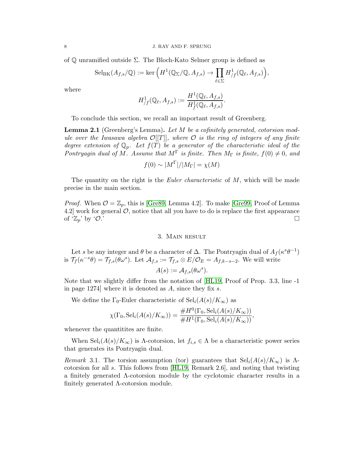of Q unramified outside Σ. The Bloch-Kato Selmer group is defined as

$$
\mathrm{Sel}_{\mathrm{BK}}(A_{f,s}/\mathbb{Q}) := \ker \left( H^1(\mathbb{Q}_{\Sigma}/\mathbb{Q}, A_{f,s}) \to \prod_{\ell \in \Sigma} H^1_{/f}(\mathbb{Q}_{\ell}, A_{f,s}) \right),
$$

where

$$
H^1_{/f}(\mathbb{Q}_{\ell}, A_{f,s}) := \frac{H^1(\mathbb{Q}_{\ell}, A_{f,s})}{H^1_{f}(\mathbb{Q}_{\ell}, A_{f,s})}.
$$

To conclude this section, we recall an important result of Greenberg.

<span id="page-7-1"></span>Lemma 2.1 (Greenberg's Lemma). *Let* M *be a cofinitely generated, cotorsion module over the Iwasawa algebra* O[[T]]*, where* O *is the ring of integers of any finite degree extension of*  $\mathbb{Q}_p$ . Let  $f(T)$  be a generator of the characteristic ideal of the *Pontryagin dual of* M. Assume that  $M^{\Gamma}$  *is finite. Then*  $M_{\Gamma}$  *is finite,*  $f(0) \neq 0$ *, and* 

$$
f(0) \sim |M^{\Gamma}|/|M_{\Gamma}| = \chi(M)
$$

The quantity on the right is the *Euler characteristic* of M, which will be made precise in the main section.

<span id="page-7-0"></span>*Proof.* When  $\mathcal{O} = \mathbb{Z}_p$ , this is [\[Gre89,](#page-12-16) Lemma 4.2]. To make [\[Gre99,](#page-12-0) Proof of Lemma 4.2 work for general  $\mathcal{O}$ , notice that all you have to do is replace the first appearance of ' $\mathbb{Z}_p$ ' by ' $\mathcal{O}$ .'

### 3. Main result

Let s be any integer and  $\theta$  be a character of  $\Delta$ . The Pontryagin dual of  $A_f(\kappa^s\theta^{-1})$ is  $\mathcal{T}_f(\kappa^{-s}\theta) = \mathcal{T}_{f,s}(\theta\omega^s)$ . Let  $\mathcal{A}_{f,s} := \mathcal{T}_{f,s} \otimes E/\mathcal{O}_E = A_{f,k-s-2}$ . We will write

$$
A(s) := \mathcal{A}_{f,s}(\theta \omega^s).
$$

Note that we slightly differ from the notation of [\[HL19,](#page-12-8) Proof of Prop. 3.3, line -1 in page 1274] where it is denoted as  $A$ , since they fix  $s$ .

We define the  $\Gamma_0$ -Euler characteristic of  $\text{Sel}_i(A(s)/K_{\infty})$  as

$$
\chi(\Gamma_0, \operatorname{Sel}_i(A(s)/K_\infty)) = \frac{\#H^0(\Gamma_0, \operatorname{Sel}_i(A(s)/K_\infty))}{\#H^1(\Gamma_0, \operatorname{Sel}_i(A(s)/K_\infty))},
$$

whenever the quantitities are finite.

When  $\text{Sel}_i(A(s)/K_\infty)$  is  $\Lambda$ -cotorsion, let  $f_{i,s} \in \Lambda$  be a characteristic power series that generates its Pontryagin dual.

*Remark* 3.1. The torsion assumption (tor) guarantees that  $\text{Sel}_i(A(s)/K_{\infty})$  is  $\Lambda$ cotorsion for all s. This follows from [\[HL19,](#page-12-8) Remark 2.6], and noting that twisting a finitely generated Λ-cotorsion module by the cyclotomic character results in a finitely generated Λ-cotorsion module.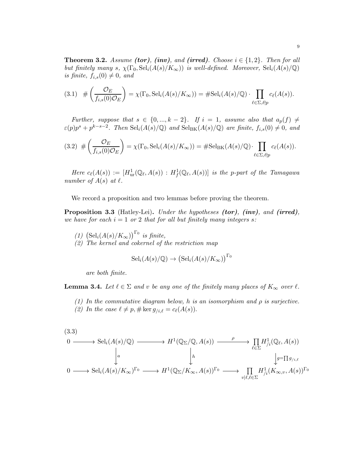<span id="page-8-0"></span>**Theorem 3.2.** *Assume (tor), (inv), and (irred). Choose*  $i \in \{1, 2\}$ *. Then for all but finitely many* s,  $\chi(\Gamma_0, \text{Sel}_i(A(s)/K_\infty))$  *is well-defined. Moreover*,  $\text{Sel}_i(A(s)/\mathbb{Q})$ *is finite,*  $f_{i,s}(0) \neq 0$ *, and* 

<span id="page-8-4"></span>
$$
(3.1) \# \left( \frac{\mathcal{O}_E}{f_{i,s}(0)\mathcal{O}_E} \right) = \chi(\Gamma_0, \mathrm{Sel}_i(A(s)/K_\infty)) = \# \mathrm{Sel}_i(A(s)/\mathbb{Q}) \cdot \prod_{\ell \in \Sigma, \ell \nmid p} c_\ell(A(s)).
$$

*Further, suppose that*  $s \in \{0, ..., k-2\}$ *. If*  $i = 1$ *, assume also that*  $a_p(f) \neq$  $\varepsilon(p)p^{s} + p^{k-s-2}$ . Then  $\text{Sel}_{i}(A(s)/\mathbb{Q})$  and  $\text{Sel}_{\text{BK}}(A(s)/\mathbb{Q})$  are finite,  $f_{i,s}(0) \neq 0$ , and

<span id="page-8-5"></span>
$$
(3.2) \# \left( \frac{\mathcal{O}_E}{f_{i,s}(0)\mathcal{O}_E} \right) = \chi(\Gamma_0, \mathrm{Sel}_i(A(s)/K_\infty)) = \# \mathrm{Sel}_{BK}(A(s)/\mathbb{Q}) \cdot \prod_{\ell \in \Sigma, \ell \nmid p} c_\ell(A(s)).
$$

 $Here \ c_{\ell}(A(s)) := [H^1_{ur}(\mathbb{Q}_{\ell}, A(s)) : H^1_f(\mathbb{Q}_{\ell}, A(s))]$  *is the p-part of the Tamagawa number of*  $A(s)$  *at*  $\ell$ *.* 

We record a proposition and two lemmas before proving the theorem.

<span id="page-8-2"></span>Proposition 3.3 (Hatley-Lei). *Under the hypotheses* (tor)*,* (inv)*, and* (irred)*, we have for each*  $i = 1$  *or* 2 *that for all but finitely many integers s*:

- *(1)*  $\left(\text{Sel}_{i}(A(s)/K_{\infty})\right)^{\Gamma_{0}}$  *is finite,*
- *(2) The kernel and cokernel of the restriction map*

$$
\mathrm{Sel}_i(A(s)/\mathbb{Q}) \to \left(\mathrm{Sel}_i(A(s)/K_\infty)\right)^{\Gamma_0}
$$

*are both finite.*

<span id="page-8-1"></span>**Lemma 3.4.** Let  $\ell \in \Sigma$  and v be any one of the finitely many places of  $K_{\infty}$  over  $\ell$ .

- *(1) In the commutative diagram below,* h *is an isomorphism and* ρ *is surjective.*
- (2) In the case  $\ell \neq p, \# \ker g_{/i,\ell} = c_{\ell}(A(s)).$

<span id="page-8-3"></span>
$$
(3.3)
$$
\n
$$
0 \longrightarrow \text{Sel}_{i}(A(s)/\mathbb{Q}) \longrightarrow H^{1}(\mathbb{Q}_{\Sigma}/\mathbb{Q}, A(s)) \longrightarrow \prod_{\ell \in \Sigma} H^{1}_{/i}(\mathbb{Q}_{\ell}, A(s))
$$
\n
$$
\downarrow a \qquad \qquad \downarrow b \qquad \qquad \downarrow g=\prod g_{/i,\ell}
$$
\n
$$
0 \longrightarrow \text{Sel}_{i}(A(s)/K_{\infty})^{\Gamma_{0}} \longrightarrow H^{1}(\mathbb{Q}_{\Sigma}/K_{\infty}, A(s))^{\Gamma_{0}} \longrightarrow \prod_{v|\ell, \ell \in \Sigma} H^{1}_{/i}(K_{\infty,v}, A(s))^{\Gamma_{0}}
$$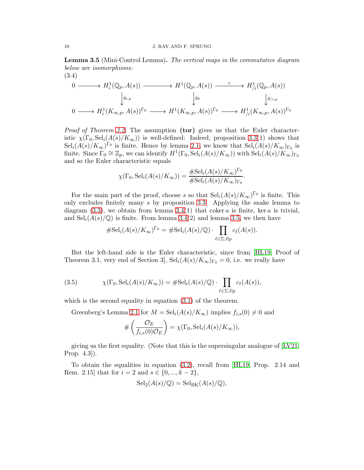<span id="page-9-0"></span>Lemma 3.5 (Mini-Control Lemma). *The vertical maps in the commutative diagram below are isomorphisms:*

$$
(3.4)
$$
\n
$$
0 \longrightarrow H_i^1(\mathbb{Q}_p, A(s)) \longrightarrow H^1(\mathbb{Q}_p, A(s)) \longrightarrow H^1(\mathbb{Q}_p, A(s)) \longrightarrow H_{/i}^1(\mathbb{Q}_p, A(s))
$$
\n
$$
\downarrow g_{i,p} \qquad \qquad \downarrow g_p \qquad \qquad \downarrow g_{/i,p}
$$
\n
$$
0 \longrightarrow H_i^1(K_{\infty,p}, A(s))^{\Gamma_0} \longrightarrow H^1(K_{\infty,p}, A(s))^{\Gamma_0} \longrightarrow H_{/i}^1(K_{\infty,p}, A(s))^{\Gamma_0}
$$

*Proof of Theorem [3.2.](#page-8-0)* The assumption (tor) gives us that the Euler characteristic  $\chi(\Gamma_0, \text{Sel}_i(A(s)/K_\infty))$  is well-defined: Indeed, proposition [3.3\(](#page-8-2)1) shows that  $\text{Sel}_{i}(A(s)/K_{\infty})^{\Gamma_{0}}$  is finite. Hence by lemma [2.1,](#page-7-1) we know that  $\text{Sel}_{i}(A(s)/K_{\infty})_{\Gamma_{0}}$  is finite. Since  $\Gamma_0 \cong \mathbb{Z}_p$ , we can identify  $H^1(\Gamma_0, \text{Sel}_i(A(s)/K_\infty))$  with  $\text{Sel}_i(A(s)/K_\infty)_{\Gamma_0}$ and so the Euler characteristic equals

$$
\chi(\Gamma_0, \mathrm{Sel}_i(A(s)/K_\infty)) = \frac{\# \mathrm{Sel}_i(A(s)/K_\infty)^{\Gamma_0}}{\# \mathrm{Sel}_i(A(s)/K_\infty)_{\Gamma_0}}.
$$

For the main part of the proof, choose s so that  $\text{Sel}_{i}(A(s)/K_{\infty})^{\Gamma_{0}}$  is finite. This only excludes finitely many s by proposition [3.3.](#page-8-2) Applying the snake lemma to diagram  $(3.3)$ , we obtain from lemma  $3.4(1)$  that coker a is finite, ker a is trivial, and  $\text{Sel}_{i}(A(s)/\mathbb{Q})$  is finite. From lemma [3.4\(](#page-8-1)2) and lemma [3.5,](#page-9-0) we then have

$$
\# \mathrm{Sel}_i(A(s)/K_\infty)^{\Gamma_0} = \# \mathrm{Sel}_i(A(s)/\mathbb{Q}) \cdot \prod_{\ell \in \Sigma, \ell \nmid p} c_\ell(A(s)).
$$

But the left-hand side is the Euler characteristic, since from [\[HL19,](#page-12-8) Proof of Theorem 3.1, very end of Section 3,  $\text{Sel}_i(A(s)/K_\infty)_{\Gamma_0} = 0$ , i.e. we really have

(3.5) 
$$
\chi(\Gamma_0, \mathrm{Sel}_i(A(s)/K_\infty)) = \# \mathrm{Sel}_i(A(s)/\mathbb{Q}) \cdot \prod_{\ell \in \Sigma, \ell \nmid p} c_\ell(A(s)),
$$

which is the second equality in equation  $(3.1)$  of the theorem.

Greenberg's Lemma [2.1](#page-7-1) for  $M = \text{Sel}_{i}(A(s)/K_{\infty})$  implies  $f_{i,s}(0) \neq 0$  and

$$
\#\left(\frac{\mathcal{O}_E}{f_{i,s}(0)\mathcal{O}_E}\right) = \chi(\Gamma_0, \mathrm{Sel}_i(A(s)/K_\infty)),
$$

giving us the first equality. (Note that this is the supersingular analogue of  $[V<sub>21</sub>]$ , Prop. 4.3]).

To obtain the equalities in equation [\(3.2\)](#page-8-5), recall from [\[HL19,](#page-12-8) Prop. 2.14 and Rem. 2.15] that for  $i = 2$  and  $s \in \{0, ..., k - 2\},\$ 

$$
\mathrm{Sel}_2(A(s)/\mathbb{Q}) = \mathrm{Sel}_{\mathrm{BK}}(A(s)/\mathbb{Q}),
$$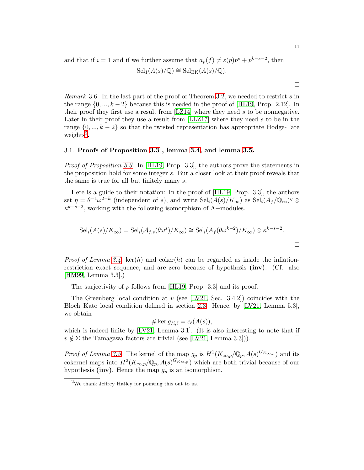and that if  $i = 1$  and if we further assume that  $a_p(f) \neq \varepsilon(p)p^s + p^{k-s-2}$ , then  $\operatorname{Sel}_{1}(A(s)/\mathbb{Q}) \cong \operatorname{Sel}_{BK}(A(s)/\mathbb{Q}).$ 

*Remark* 3.6. In the last part of the proof of Theorem [3.2,](#page-8-0) we needed to restrict s in the range  $\{0, ..., k-2\}$  because this is needed in the proof of [\[HL19,](#page-12-8) Prop. 2.12]. In their proof they first use a result from [\[LZ14\]](#page-12-17) where they need s to be nonnegative. Later in their proof they use a result from [\[LLZ17\]](#page-12-18) where they need s to be in the range  $\{0, ..., k-2\}$  so that the twisted representation has appropriate Hodge-Tate weights<sup>[2](#page-10-0)</sup>.

### 3.1. Proofs of Proposition [3.3](#page-8-2) , lemma [3.4,](#page-8-1) and lemma [3.5.](#page-9-0)

*Proof of Proposition [3.3.](#page-8-2)* In [\[HL19,](#page-12-8) Prop. 3.3], the authors prove the statements in the proposition hold for some integer s. But a closer look at their proof reveals that the same is true for all but finitely many s.

Here is a guide to their notation: In the proof of [\[HL19,](#page-12-8) Prop. 3.3], the authors set  $\eta = \theta^{-1}\omega^{2-k}$  (independent of s), and write  $\text{Sel}_{i}(A(s)/K_{\infty})$  as  $\text{Sel}_{i}(A_{f}/\mathbb{Q}_{\infty})^{\eta}$  $\kappa^{k-s-2}$ , working with the following isomorphism of  $\Lambda$ -modules.

$$
Seli(A(s)/K_{\infty}) = Seli(Af,s(\theta \omega^{s})/K_{\infty}) \cong Seli(Af(\theta \omega^{k-2})/K_{\infty}) \otimes \kappa^{k-s-2}.
$$

*Proof of Lemma [3.4.](#page-8-1)* ker(h) and coker(h) can be regarded as inside the inflationrestriction exact sequence, and are zero because of hypothesis (inv). (Cf. also [\[HM99,](#page-12-19) Lemma 3.3].)

The surjectivity of  $\rho$  follows from [\[HL19,](#page-12-8) Prop. 3.3] and its proof.

The Greenberg local condition at v (see [\[LV21,](#page-12-4) Sec. 3.4.2]) coincides with the Bloch–Kato local condition defined in section [2.3.](#page-6-0) Hence, by [\[LV21,](#page-12-4) Lemma 5.3], we obtain

$$
\#\ker g_{/i,\ell}=c_{\ell}(A(s)),
$$

which is indeed finite by [\[LV21,](#page-12-4) Lemma 3.1]. (It is also interesting to note that if  $v \notin \Sigma$  the Tamagawa factors are trivial (see [\[LV21,](#page-12-4) Lemma 3.3])).

*Proof of Lemma [3.5.](#page-9-0)* The kernel of the map  $g_p$  is  $H^1(K_{\infty,p}/\mathbb{Q}_p, A(s)^{G_{K_{\infty,p}}})$  and its cokernel maps into  $H^2(K_{\infty,p}/\mathbb{Q}_p, A(s)^{G_{K_{\infty,p}}})$  which are both trivial because of our hypothesis (inv). Hence the map  $g_p$  is an isomorphism.

 $\Box$ 

<span id="page-10-0"></span><sup>2</sup>We thank Jeffrey Hatley for pointing this out to us.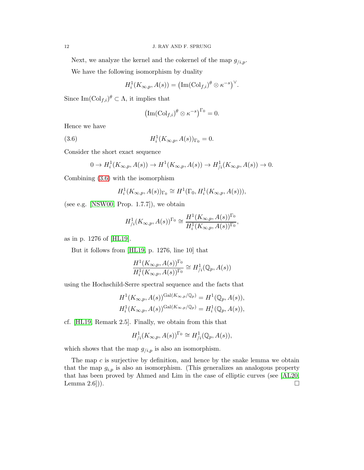Next, we analyze the kernel and the cokernel of the map  $g_{/i,p}$ .

We have the following isomorphism by duality

$$
H_i^1(K_{\infty,p}, A(s)) = (\operatorname{Im}(Col_{f,i})^{\theta} \otimes \kappa^{-s})^{\vee}.
$$

Since  $\text{Im}(\text{Col}_{f,i})^{\theta} \subset \Lambda$ , it implies that

<span id="page-11-0"></span>
$$
\left(\operatorname{Im}(\operatorname{Col}_{f,i})^{\theta}\otimes\kappa^{-s}\right)^{\Gamma_0}=0.
$$

Hence we have

(3.6) 
$$
H_i^1(K_{\infty,p}, A(s))_{\Gamma_0} = 0.
$$

Consider the short exact sequence

$$
0 \to H_i^1(K_{\infty,p}, A(s)) \to H^1(K_{\infty,p}, A(s)) \to H_{/i}^1(K_{\infty,p}, A(s)) \to 0.
$$

Combining [\(3.6\)](#page-11-0) with the isomorphism

$$
H_i^1(K_{\infty,p}, A(s))_{\Gamma_0} \cong H^1(\Gamma_0, H_i^1(K_{\infty,p}, A(s))),
$$

(see e.g. [\[NSW00,](#page-12-20) Prop.  $1.7.7$ ]), we obtain

$$
H^1_{/i}(K_{\infty,p}, A(s))^{\Gamma_0} \cong \frac{H^1(K_{\infty,p}, A(s))^{\Gamma_0}}{H^1_i(K_{\infty,p}, A(s))^{\Gamma_0}},
$$

as in p. 1276 of [\[HL19\]](#page-12-8).

But it follows from [\[HL19,](#page-12-8) p. 1276, line 10] that

$$
\frac{H^1(K_{\infty,p}, A(s))^{\Gamma_0}}{H^1_i(K_{\infty,p}, A(s))^{\Gamma_0}} \cong H^1_{/i}(\mathbb{Q}_p, A(s))
$$

using the Hochschild-Serre spectral sequence and the facts that

$$
H^1(K_{\infty,p}, A(s))^{\mathrm{Gal}(K_{\infty,p}/\mathbb{Q}_p)} = H^1(\mathbb{Q}_p, A(s)),
$$
  

$$
H^1_i(K_{\infty,p}, A(s))^{\mathrm{Gal}(K_{\infty,p}/\mathbb{Q}_p)} = H^1_i(\mathbb{Q}_p, A(s)),
$$

cf. [\[HL19,](#page-12-8) Remark 2.5]. Finally, we obtain from this that

$$
H^1_{/i}(K_{\infty,p}, A(s))^{\Gamma_0} \cong H^1_{/i}(\mathbb{Q}_p, A(s)),
$$

which shows that the map  $g_{i,p}$  is also an isomorphism.

The map  $c$  is surjective by definition, and hence by the snake lemma we obtain that the map  $g_{i,p}$  is also an isomorphism. (This generalizes an analogous property that has been proved by Ahmed and Lim in the case of elliptic curves (see [\[AL20,](#page-12-3) Lemma 2.6]).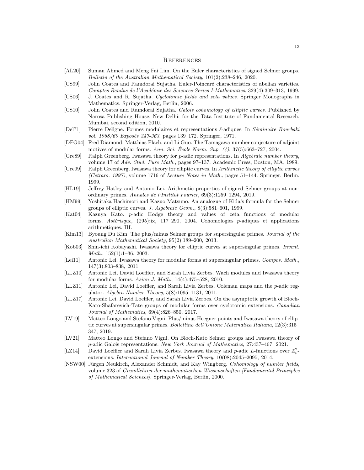#### **REFERENCES**

- <span id="page-12-3"></span>[AL20] Suman Ahmed and Meng Fai Lim. On the Euler characteristics of signed Selmer groups. Bulletin of the Australian Mathematical Society, 101(2):238–246, 2020.
- <span id="page-12-9"></span>[CS99] John Coates and Ramdorai Sujatha. Euler-Poincaré characteristics of abelian varieties. Comptes Rendus de l'Académie des Sciences-Series I-Mathematics, 329(4):309–313, 1999.
- <span id="page-12-10"></span>[CS06] J. Coates and R. Sujatha. Cyclotomic fields and zeta values. Springer Monographs in Mathematics. Springer-Verlag, Berlin, 2006.
- <span id="page-12-11"></span>[CS10] John Coates and Ramdorai Sujatha. Galois cohomology of elliptic curves. Published by Narosa Publishing House, New Delhi; for the Tata Institute of Fundamental Research, Mumbai, second edition, 2010.
- <span id="page-12-12"></span>[Del71] Pierre Deligne. Formes modulaires et representations  $\ell$ -adiques. In Séminaire Bourbaki vol. 1968/69 Exposés 347-363, pages 139-172. Springer, 1971.
- <span id="page-12-14"></span>[DFG04] Fred Diamond, Matthias Flach, and Li Guo. The Tamagawa number conjecture of adjoint motives of modular forms. Ann. Sci. École Norm. Sup.  $(4)$ , 37 $(5)$ :663–727, 2004.
- <span id="page-12-16"></span>[Gre89] Ralph Greenberg. Iwasawa theory for p-adic representations. In Algebraic number theory, volume 17 of Adv. Stud. Pure Math., pages 97–137. Academic Press, Boston, MA, 1989.
- <span id="page-12-0"></span>[Gre99] Ralph Greenberg. Iwasawa theory for elliptic curves. In Arithmetic theory of elliptic curves (Cetraro, 1997), volume 1716 of Lecture Notes in Math., pages 51–144. Springer, Berlin, 1999.
- <span id="page-12-8"></span>[HL19] Jeffrey Hatley and Antonio Lei. Arithmetic properties of signed Selmer groups at nonordinary primes. Annales de l'Institut Fourier, 69(3):1259–1294, 2019.
- <span id="page-12-19"></span>[HM99] Yoshitaka Hachimori and Kazuo Matsuno. An analogue of Kida's formula for the Selmer groups of elliptic curves. J. Algebraic Geom., 8(3):581–601, 1999.
- <span id="page-12-13"></span>[Kat04] Kazuya Kato. p-adic Hodge theory and values of zeta functions of modular forms. Astérisque,  $(295):ix$ , 117–290, 2004. Cohomologies p-adiques et applications arithmétiques. III.
- <span id="page-12-2"></span>[Kim13] Byoung Du Kim. The plus/minus Selmer groups for supersingular primes. Journal of the Australian Mathematical Society, 95(2):189–200, 2013.
- <span id="page-12-1"></span>[Kob03] Shin-ichi Kobayashi. Iwasawa theory for elliptic curves at supersingular primes. Invent. Math., 152(1):1–36, 2003.
- <span id="page-12-5"></span>[Lei11] Antonio Lei. Iwasawa theory for modular forms at supersingular primes. Compos. Math., 147(3):803–838, 2011.
- <span id="page-12-6"></span>[LLZ10] Antonio Lei, David Loeffler, and Sarah Livia Zerbes. Wach modules and Iwasawa theory for modular forms. Asian J. Math., 14(4):475–528, 2010.
- <span id="page-12-7"></span>[LLZ11] Antonio Lei, David Loeffler, and Sarah Livia Zerbes. Coleman maps and the p-adic regulator. Algebra Number Theory, 5(8):1095–1131, 2011.
- <span id="page-12-18"></span>[LLZ17] Antonio Lei, David Loeffler, and Sarah Livia Zerbes. On the asymptotic growth of Bloch-Kato-Shafarevich-Tate groups of modular forms over cyclotomic extensions. Canadian Journal of Mathematics, 69(4):826–850, 2017.
- <span id="page-12-15"></span>[LV19] Matteo Longo and Stefano Vigni. Plus/minus Heegner points and Iwasawa theory of elliptic curves at supersingular primes. Bollettino dell'Unione Matematica Italiana, 12(3):315– 347, 2019.
- <span id="page-12-4"></span>[LV21] Matteo Longo and Stefano Vigni. On Bloch-Kato Selmer groups and Iwasawa theory of p-adic Galois representations. New York Journal of Mathematics, 27:437–467, 2021.
- <span id="page-12-17"></span>[LZ14] David Loeffler and Sarah Livia Zerbes. Iwasawa theory and p-adic L-functions over  $\mathbb{Z}_p^2$ extensions. International Journal of Number Theory, 10(08):2045–2095, 2014.
- <span id="page-12-20"></span>[NSW00] Jürgen Neukirch, Alexander Schmidt, and Kay Wingberg. Cohomology of number fields, volume 323 of Grundlehren der mathematischen Wissenschaften [Fundamental Principles of Mathematical Sciences]. Springer-Verlag, Berlin, 2000.